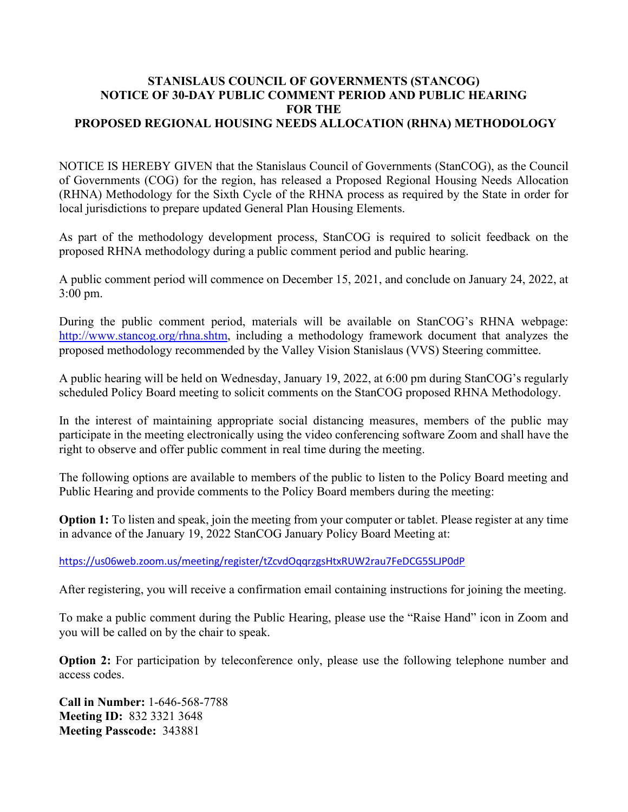## **STANISLAUS COUNCIL OF GOVERNMENTS (STANCOG) NOTICE OF 30-DAY PUBLIC COMMENT PERIOD AND PUBLIC HEARING FOR THE PROPOSED REGIONAL HOUSING NEEDS ALLOCATION (RHNA) METHODOLOGY**

NOTICE IS HEREBY GIVEN that the Stanislaus Council of Governments (StanCOG), as the Council of Governments (COG) for the region, has released a Proposed Regional Housing Needs Allocation (RHNA) Methodology for the Sixth Cycle of the RHNA process as required by the State in order for local jurisdictions to prepare updated General Plan Housing Elements.

As part of the methodology development process, StanCOG is required to solicit feedback on the proposed RHNA methodology during a public comment period and public hearing.

A public comment period will commence on December 15, 2021, and conclude on January 24, 2022, at 3:00 pm.

During the public comment period, materials will be available on StanCOG's RHNA webpage: [http://www.stancog.org/rhna.shtm,](http://www.stancog.org/rhna.shtm) including a methodology framework document that analyzes the proposed methodology recommended by the Valley Vision Stanislaus (VVS) Steering committee.

A public hearing will be held on Wednesday, January 19, 2022, at 6:00 pm during StanCOG's regularly scheduled Policy Board meeting to solicit comments on the StanCOG proposed RHNA Methodology.

In the interest of maintaining appropriate social distancing measures, members of the public may participate in the meeting electronically using the video conferencing software Zoom and shall have the right to observe and offer public comment in real time during the meeting.

The following options are available to members of the public to listen to the Policy Board meeting and Public Hearing and provide comments to the Policy Board members during the meeting:

**Option 1:** To listen and speak, join the meeting from your computer or tablet. Please register at any time in advance of the January 19, 2022 StanCOG January Policy Board Meeting at:

<https://us06web.zoom.us/meeting/register/tZcvdOqqrzgsHtxRUW2rau7FeDCG5SLJP0dP>

After registering, you will receive a confirmation email containing instructions for joining the meeting.

To make a public comment during the Public Hearing, please use the "Raise Hand" icon in Zoom and you will be called on by the chair to speak.

**Option 2:** For participation by teleconference only, please use the following telephone number and access codes.

**Call in Number:** 1-646-568-7788 **Meeting ID:** 832 3321 3648 **Meeting Passcode:** 343881